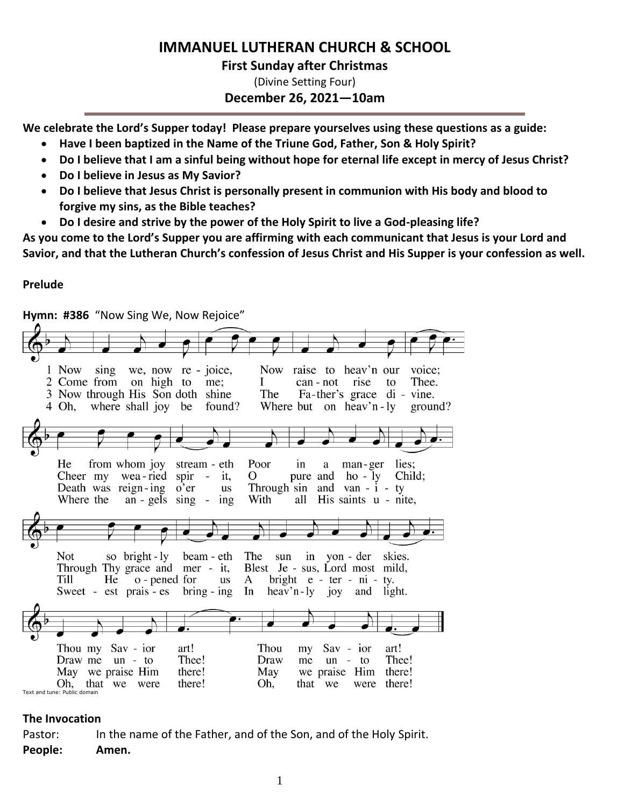# **IMMANUEL LUTHERAN CHURCH & SCHOOL**

## **First Sunday after Christmas**

(Divine Setting Four) **December 26, 2021—10am**

**We celebrate the Lord's Supper today! Please prepare yourselves using these questions as a guide:**

- **Have I been baptized in the Name of the Triune God, Father, Son & Holy Spirit?**
- **Do I believe that I am a sinful being without hope for eternal life except in mercy of Jesus Christ?**
- **Do I believe in Jesus as My Savior?**
- **Do I believe that Jesus Christ is personally present in communion with His body and blood to forgive my sins, as the Bible teaches?**
- **Do I desire and strive by the power of the Holy Spirit to live a God-pleasing life?**

**As you come to the Lord's Supper you are affirming with each communicant that Jesus is your Lord and Savior, and that the Lutheran Church's confession of Jesus Christ and His Supper is your confession as well.**

## **Prelude**

**Hymn: #386** "Now Sing We, Now Rejoice" 1 Now sing we, now re - joice, Now raise to heav'n our voice: 2 Come from on high to me; Ι can - not rise to Thee. The 3 Now through His Son doth shine Fa-ther's grace di - vine. 4 Oh, where shall joy be found? Where but on heav'n-ly ground? He from whom joy stream - eth Poor in a man-ger lies; Cheer my wea-ried spir  $-$  it, O pure and ho - ly Child; Death was reign-ing o'er Through sin and van  $- i - ty$ us His saints u - nite, Where the  $an - gels$  sing - ing With all Not so bright - ly beam - eth The sun in yon - der skies. Through Thy grace and mer - it, Blest Je - sus, Lord most mild, o - pened for **Till** He A bright  $e$  - ter - ni us ty. Sweet - est prais - es  $bring - ing$ In  $\text{heavy}$  n - ly joy and light. Thou my Sav - ior art! Thou my Sav - ior art! Draw me  $un - to$ Thee! Draw me  $un - to$ Thee! there! May there! May we praise Him we praise Him there! Oh. Oh. that we were that we were there! Text and tune: Public domain

## **The Invocation**

Pastor: In the name of the Father, and of the Son, and of the Holy Spirit. **People: Amen.**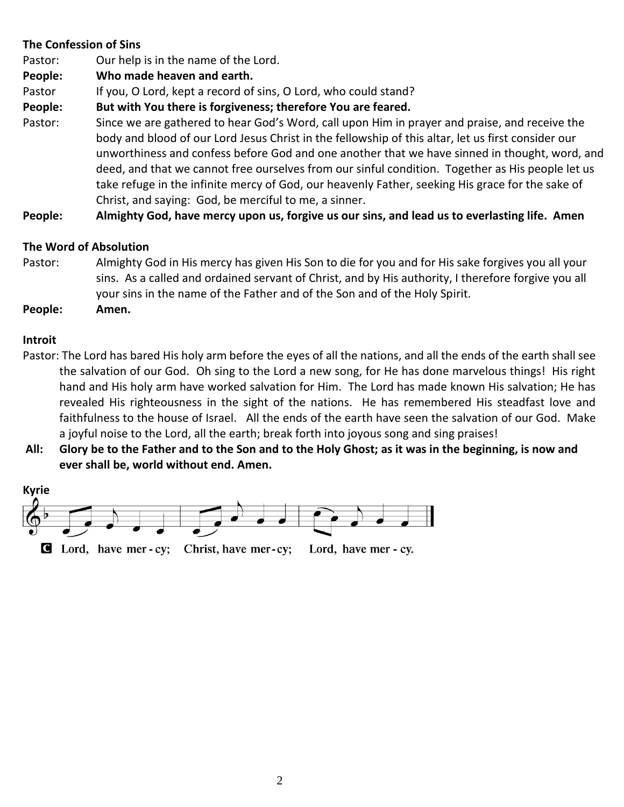## **The Confession of Sins**

Pastor: Our help is in the name of the Lord.

- **People: Who made heaven and earth.**
- Pastor If you, O Lord, kept a record of sins, O Lord, who could stand?
- **People: But with You there is forgiveness; therefore You are feared.**
- Pastor: Since we are gathered to hear God's Word, call upon Him in prayer and praise, and receive the body and blood of our Lord Jesus Christ in the fellowship of this altar, let us first consider our unworthiness and confess before God and one another that we have sinned in thought, word, and deed, and that we cannot free ourselves from our sinful condition. Together as His people let us take refuge in the infinite mercy of God, our heavenly Father, seeking His grace for the sake of Christ, and saying: God, be merciful to me, a sinner.

**People: Almighty God, have mercy upon us, forgive us our sins, and lead us to everlasting life. Amen**

## **The Word of Absolution**

- Pastor: Almighty God in His mercy has given His Son to die for you and for His sake forgives you all your sins. As a called and ordained servant of Christ, and by His authority, I therefore forgive you all your sins in the name of the Father and of the Son and of the Holy Spirit.
- **People: Amen.**

## **Introit**

- Pastor: The Lord has bared His holy arm before the eyes of all the nations, and all the ends of the earth shall see the salvation of our God. Oh sing to the Lord a new song, for He has done marvelous things! His right hand and His holy arm have worked salvation for Him. The Lord has made known His salvation; He has revealed His righteousness in the sight of the nations. He has remembered His steadfast love and faithfulness to the house of Israel. All the ends of the earth have seen the salvation of our God. Make a joyful noise to the Lord, all the earth; break forth into joyous song and sing praises!
- **All: Glory be to the Father and to the Son and to the Holy Ghost; as it was in the beginning, is now and ever shall be, world without end. Amen.**

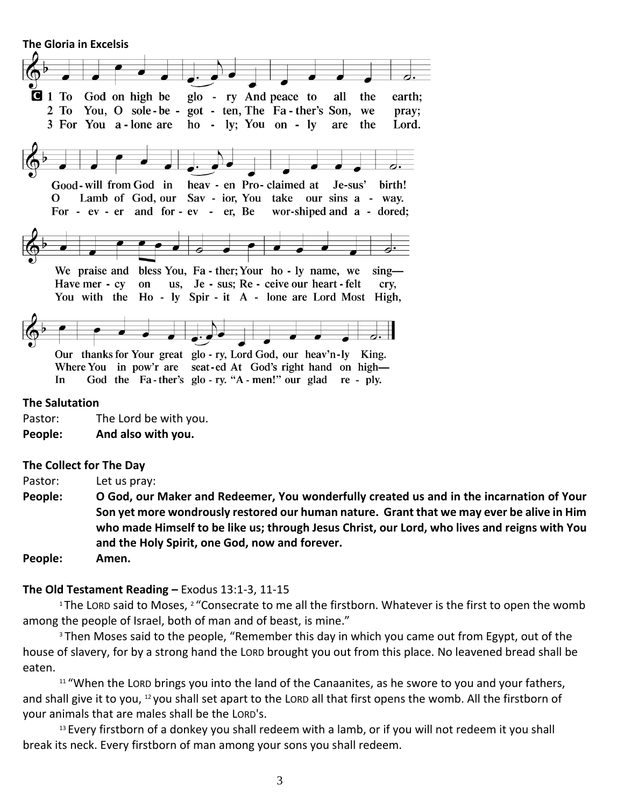**The Gloria in Excelsis** 



Pastor: The Lord be with you.

**People: And also with you.**

#### **The Collect for The Day**

Pastor: Let us pray:

**People: O God, our Maker and Redeemer, You wonderfully created us and in the incarnation of Your Son yet more wondrously restored our human nature. Grant that we may ever be alive in Him who made Himself to be like us; through Jesus Christ, our Lord, who lives and reigns with You and the Holy Spirit, one God, now and forever.** 

**People: Amen.**

#### **The Old Testament Reading –** Exodus 13:1-3, 11-15

<sup>1</sup>The LORD said to Moses, <sup>2</sup> "Consecrate to me all the firstborn. Whatever is the first to open the womb among the people of Israel, both of man and of beast, is mine."

<sup>3</sup> Then Moses said to the people, "Remember this day in which you came out from Egypt, out of the house of slavery, for by a strong hand the LORD brought you out from this place. No leavened bread shall be eaten.

<sup>11</sup> "When the LORD brings you into the land of the Canaanites, as he swore to you and your fathers, and shall give it to you, <sup>12</sup> you shall set apart to the LORD all that first opens the womb. All the firstborn of your animals that are males shall be the LORD's.

<sup>13</sup> Every firstborn of a donkey you shall redeem with a lamb, or if you will not redeem it you shall break its neck. Every firstborn of man among your sons you shall redeem.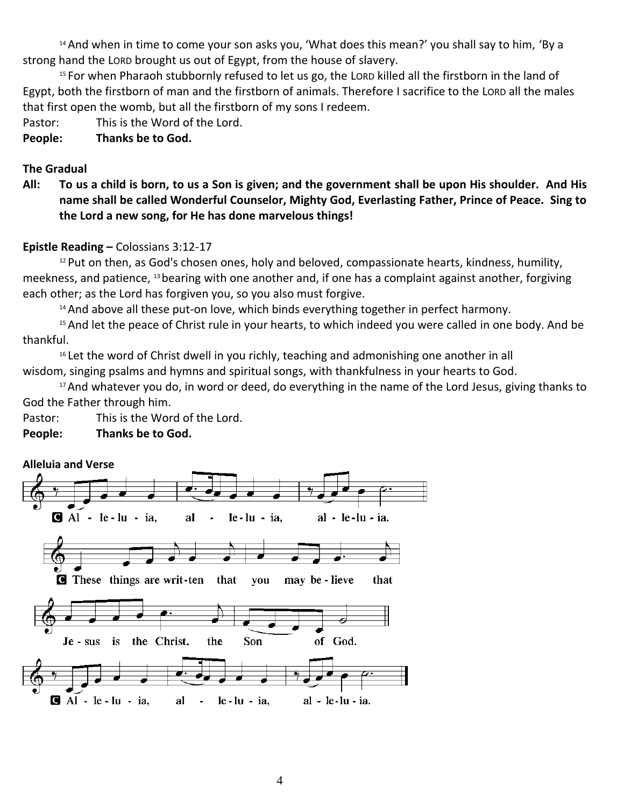<sup>14</sup> And when in time to come your son asks you, 'What does this mean?' you shall say to him, 'By a strong hand the LORD brought us out of Egypt, from the house of slavery.

<sup>15</sup> For when Pharaoh stubbornly refused to let us go, the LORD killed all the firstborn in the land of Egypt, both the firstborn of man and the firstborn of animals. Therefore I sacrifice to the LORD all the males that first open the womb, but all the firstborn of my sons I redeem.

Pastor: This is the Word of the Lord.

**People: Thanks be to God.**

## **The Gradual**

**All: To us a child is born, to us a Son is given; and the government shall be upon His shoulder. And His name shall be called Wonderful Counselor, Mighty God, Everlasting Father, Prince of Peace. Sing to the Lord a new song, for He has done marvelous things!**

## **Epistle Reading –** Colossians 3:12-17

<sup>12</sup> Put on then, as God's chosen ones, holy and beloved, compassionate hearts, kindness, humility, meekness, and patience, <sup>13</sup>bearing with one another and, if one has a complaint against another, forgiving each other; as the Lord has forgiven you, so you also must forgive.

<sup>14</sup> And above all these put-on love, which binds everything together in perfect harmony.

<sup>15</sup> And let the peace of Christ rule in your hearts, to which indeed you were called in one body. And be thankful.

<sup>16</sup> Let the word of Christ dwell in you richly, teaching and admonishing one another in all wisdom, singing psalms and hymns and spiritual songs, with thankfulness in your hearts to God.

<sup>17</sup> And whatever you do, in word or deed, do everything in the name of the Lord Jesus, giving thanks to God the Father through him.

Pastor: This is the Word of the Lord.

**People: Thanks be to God.**

## **Alleluia and Verse**

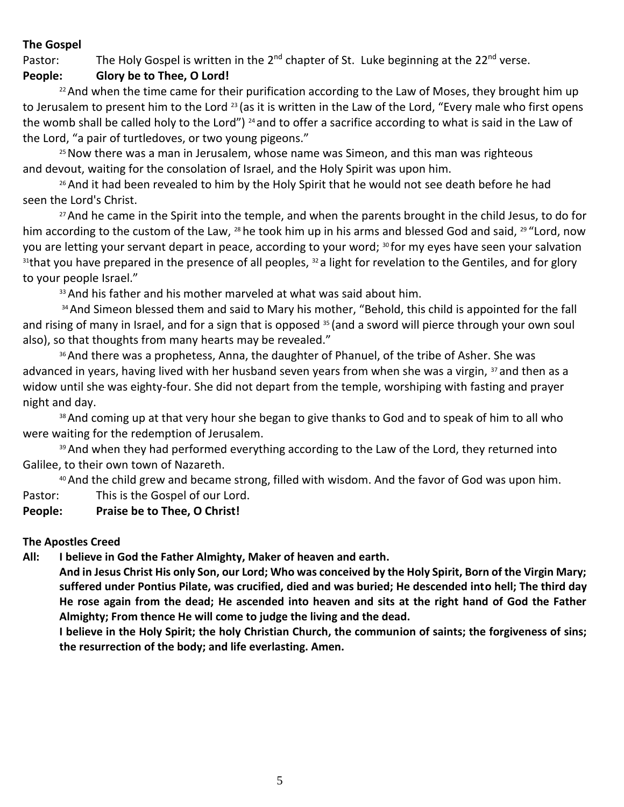## **The Gospel**

Pastor: The Holy Gospel is written in the  $2^{nd}$  chapter of St. Luke beginning at the  $22^{nd}$  verse.

## **People: Glory be to Thee, O Lord!**

<sup>22</sup> And when the time came for their purification according to the Law of Moses, they brought him up to Jerusalem to present him to the Lord <sup>23</sup> (as it is written in the Law of the Lord, "Every male who first opens the womb shall be called holy to the Lord") <sup>24</sup> and to offer a sacrifice according to what is said in the Law of the Lord, "a pair of turtledoves, or two young pigeons."

<sup>25</sup> Now there was a man in Jerusalem, whose name was Simeon, and this man was righteous and devout, waiting for the consolation of Israel, and the Holy Spirit was upon him.

<sup>26</sup> And it had been revealed to him by the Holy Spirit that he would not see death before he had seen the Lord's Christ.

<sup>27</sup> And he came in the Spirit into the temple, and when the parents brought in the child Jesus, to do for him according to the custom of the Law, <sup>28</sup> he took him up in his arms and blessed God and said, <sup>29 "</sup>Lord, now you are letting your servant depart in peace, according to your word; <sup>30</sup> for my eyes have seen your salvation <sup>31</sup>that you have prepared in the presence of all peoples, <sup>32</sup> a light for revelation to the Gentiles, and for glory to your people Israel."

33 And his father and his mother marveled at what was said about him.

34 And Simeon blessed them and said to Mary his mother, "Behold, this child is appointed for the fall and rising of many in Israel, and for a sign that is opposed <sup>35</sup> (and a sword will pierce through your own soul also), so that thoughts from many hearts may be revealed."

<sup>36</sup> And there was a prophetess, Anna, the daughter of Phanuel, of the tribe of Asher. She was advanced in years, having lived with her husband seven years from when she was a virgin, <sup>37</sup> and then as a widow until she was eighty-four. She did not depart from the temple, worshiping with fasting and prayer night and day.

38 And coming up at that very hour she began to give thanks to God and to speak of him to all who were waiting for the redemption of Jerusalem.

39 And when they had performed everything according to the Law of the Lord, they returned into Galilee, to their own town of Nazareth.

<sup>40</sup> And the child grew and became strong, filled with wisdom. And the favor of God was upon him.

Pastor: This is the Gospel of our Lord.

## **People: Praise be to Thee, O Christ!**

## **The Apostles Creed**

**All: I believe in God the Father Almighty, Maker of heaven and earth.** 

**And in Jesus Christ His only Son, our Lord; Who was conceived by the Holy Spirit, Born of the Virgin Mary; suffered under Pontius Pilate, was crucified, died and was buried; He descended into hell; The third day He rose again from the dead; He ascended into heaven and sits at the right hand of God the Father Almighty; From thence He will come to judge the living and the dead.**

**I believe in the Holy Spirit; the holy Christian Church, the communion of saints; the forgiveness of sins; the resurrection of the body; and life everlasting. Amen.**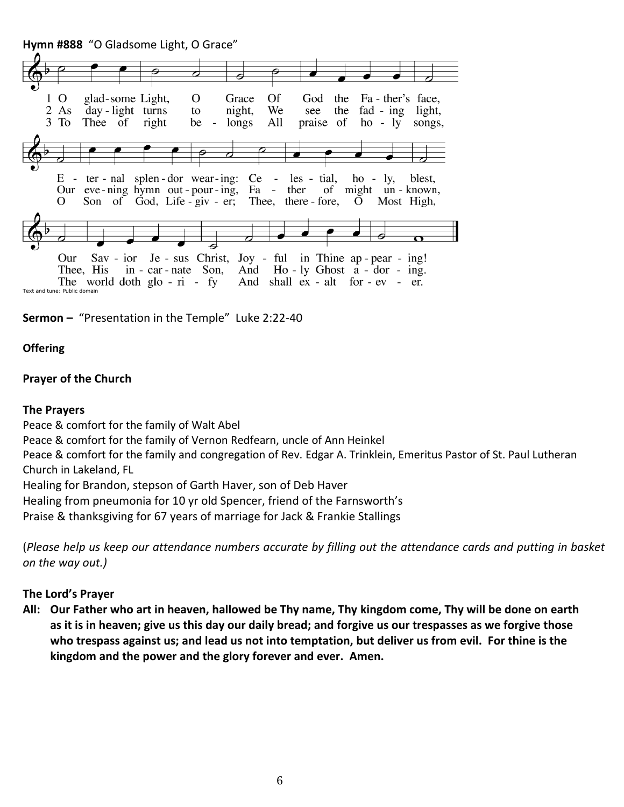**Hymn #888** "O Gladsome Light, O Grace"





### **Offering**

#### **Prayer of the Church**

#### **The Prayers**

Peace & comfort for the family of Walt Abel

Peace & comfort for the family of Vernon Redfearn, uncle of Ann Heinkel

Peace & comfort for the family and congregation of Rev. Edgar A. Trinklein, Emeritus Pastor of St. Paul Lutheran Church in Lakeland, FL

Healing for Brandon, stepson of Garth Haver, son of Deb Haver

Healing from pneumonia for 10 yr old Spencer, friend of the Farnsworth's

Praise & thanksgiving for 67 years of marriage for Jack & Frankie Stallings

(*Please help us keep our attendance numbers accurate by filling out the attendance cards and putting in basket on the way out.)*

#### **The Lord's Prayer**

**All: Our Father who art in heaven, hallowed be Thy name, Thy kingdom come, Thy will be done on earth as it is in heaven; give us this day our daily bread; and forgive us our trespasses as we forgive those who trespass against us; and lead us not into temptation, but deliver us from evil. For thine is the kingdom and the power and the glory forever and ever. Amen.**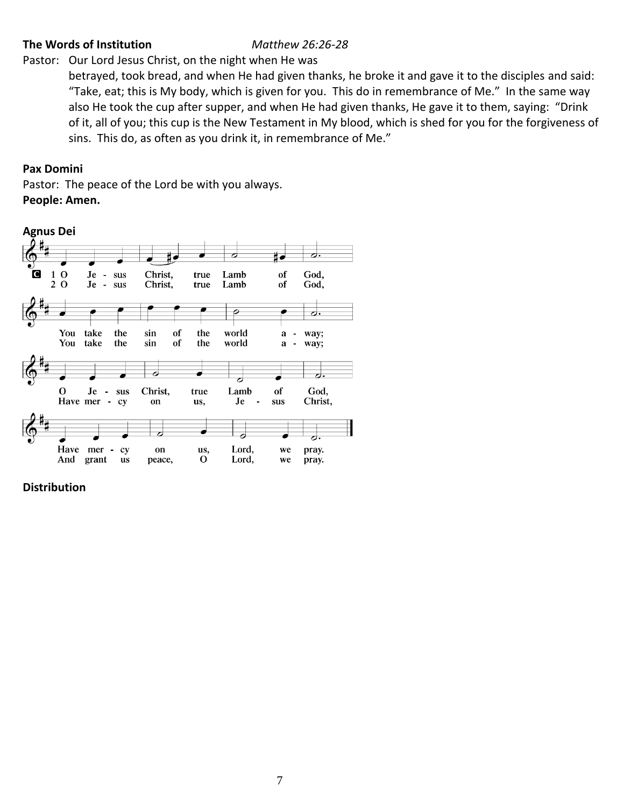## **The Words of Institution** *Matthew 26:26-28*

Pastor: Our Lord Jesus Christ, on the night when He was

betrayed, took bread, and when He had given thanks, he broke it and gave it to the disciples and said: "Take, eat; this is My body, which is given for you. This do in remembrance of Me." In the same way also He took the cup after supper, and when He had given thanks, He gave it to them, saying: "Drink of it, all of you; this cup is the New Testament in My blood, which is shed for you for the forgiveness of sins. This do, as often as you drink it, in remembrance of Me."

## **Pax Domini**

Pastor: The peace of the Lord be with you always. **People: Amen.**



**Distribution**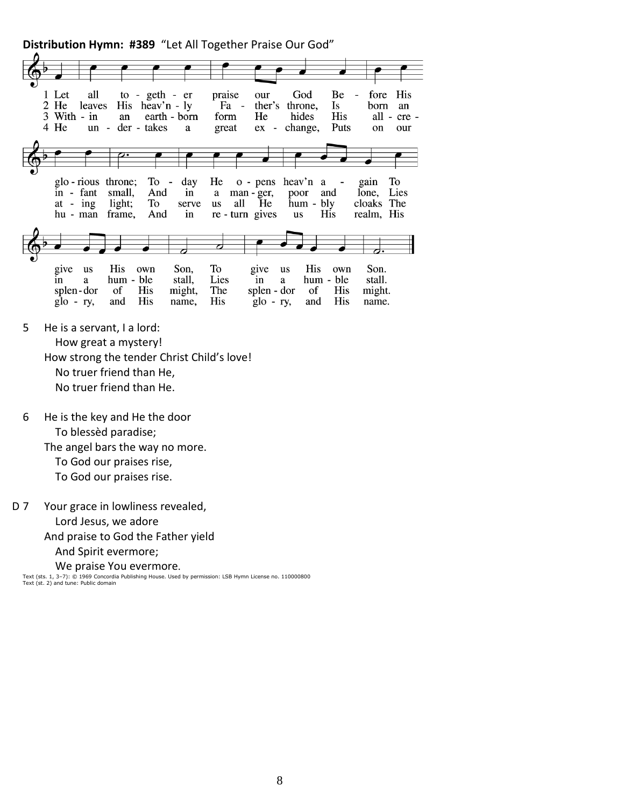**Distribution Hymn: #389** "Let All Together Praise Our God"



- 5 He is a servant, I a lord: How great a mystery! How strong the tender Christ Child's love! No truer friend than He, No truer friend than He.
- 6 He is the key and He the door To blessèd paradise; The angel bars the way no more. To God our praises rise, To God our praises rise.

D 7 Your grace in lowliness revealed, Lord Jesus, we adore And praise to God the Father yield And Spirit evermore; We praise You evermore.

Text (sts. 1, 3–7): © 1969 Concordia Publishing House. Used by permission: LSB Hymn License no. 110000800 Text (st. 2) and tune: Public domain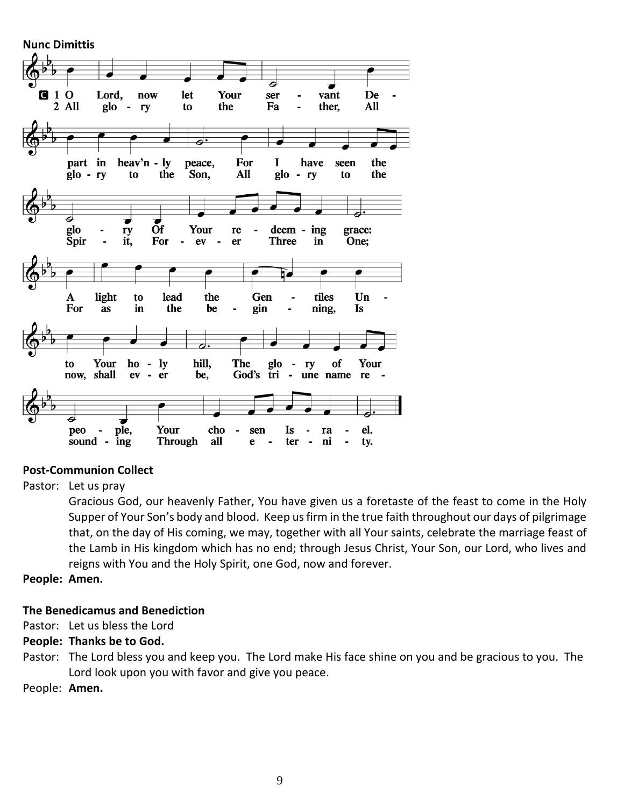**Nunc Dimittis**  $1<sub>0</sub>$ Lord, now let Your ser vant De  $\mathbf C$ 2 All  $g$ lo the Fa ther, All ry to ÷, d heav'n - ly For  $\mathbf I$ part in have the peace, seen the All the  $g$ lo - ry to Son,  $glo - ry$ to  $\overline{a}$  $\overline{d}$  $\overline{\phantom{a}}$ Your deem - ing glo ry re grace:  $\overline{\phantom{a}}$ **Spir** it, For  $\overline{\phantom{a}}$ **Three**  $in$ One;  $ev$  $\overline{\phantom{a}}$ er light lead the tiles Un  $\mathbf A$ to Gen For  $\overline{a}$ s in the be gin ning, Is  $\overline{a}$  $\blacksquare$ Your  $\overline{\phantom{a}}$ to ho - $1<sub>y</sub>$ hill, The glo of Your ry now, shall  $ev$  $\blacksquare$  $er$ be, God's tri  $\blacksquare$ une name re ple, peo Your cho  $\overline{a}$ sen Is ra el. sound -**Through** ing all e ter  $\overline{\phantom{a}}$ ni  $\overline{a}$ ty.

## **Post-Communion Collect**

Pastor: Let us pray

Gracious God, our heavenly Father, You have given us a foretaste of the feast to come in the Holy Supper of Your Son's body and blood. Keep us firm in the true faith throughout our days of pilgrimage that, on the day of His coming, we may, together with all Your saints, celebrate the marriage feast of the Lamb in His kingdom which has no end; through Jesus Christ, Your Son, our Lord, who lives and reigns with You and the Holy Spirit, one God, now and forever.

**People: Amen.**

### **The Benedicamus and Benediction**

Pastor: Let us bless the Lord

### **People: Thanks be to God.**

Pastor: The Lord bless you and keep you. The Lord make His face shine on you and be gracious to you. The Lord look upon you with favor and give you peace.

People: **Amen.**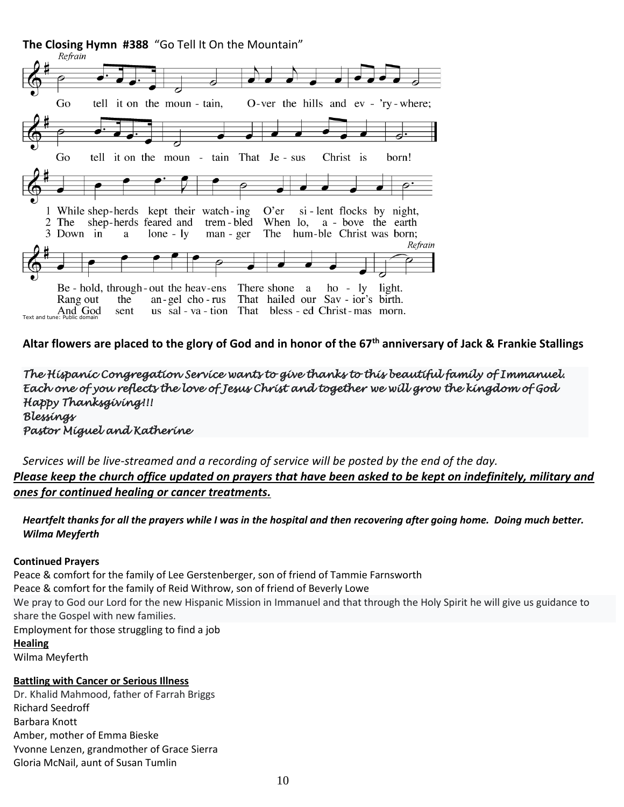

**Altar flowers are placed to the glory of God and in honor of the 67th anniversary of Jack & Frankie Stallings**

*The Hispanic Congregation Service wants to give thanks to this beautiful family of Immanuel. Each one of you reflects the love of Jesus Christ and together we will grow the kingdom of God Happy Thanksgiving!!! Blessings Pastor Miguel and Katherine* 

*Services will be live-streamed and a recording of service will be posted by the end of the day. Please keep the church office updated on prayers that have been asked to be kept on indefinitely, military and ones for continued healing or cancer treatments.*

*Heartfelt thanks for all the prayers while I was in the hospital and then recovering after going home. Doing much better. Wilma Meyferth*

#### **Continued Prayers**

Peace & comfort for the family of Lee Gerstenberger, son of friend of Tammie Farnsworth Peace & comfort for the family of Reid Withrow, son of friend of Beverly Lowe We pray to God our Lord for the new Hispanic Mission in Immanuel and that through the Holy Spirit he will give us guidance to share the Gospel with new families. Employment for those struggling to find a job **Healing** Wilma Meyferth

#### **Battling with Cancer or Serious Illness**

Dr. Khalid Mahmood, father of Farrah Briggs Richard Seedroff Barbara Knott Amber, mother of Emma Bieske Yvonne Lenzen, grandmother of Grace Sierra Gloria McNail, aunt of Susan Tumlin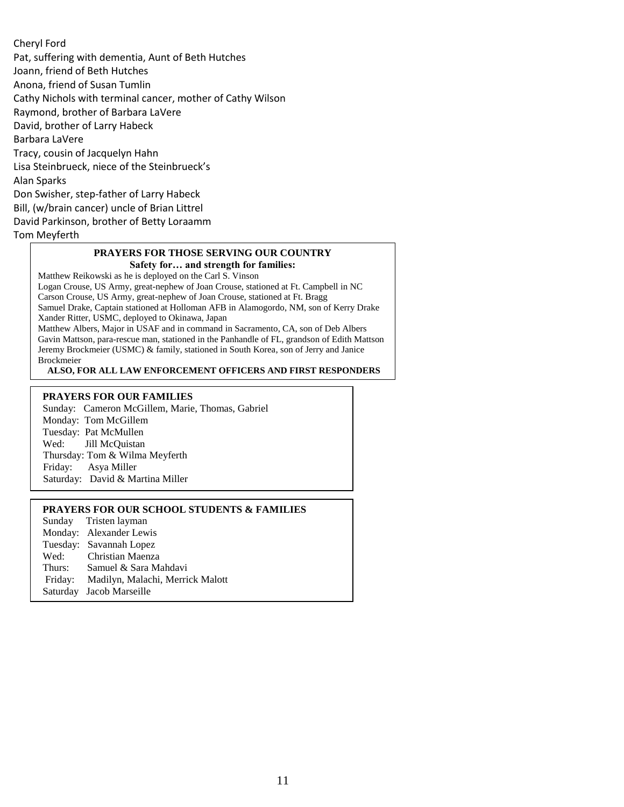#### Cheryl Ford

Pat, suffering with dementia, Aunt of Beth Hutches Joann, friend of Beth Hutches Anona, friend of Susan Tumlin Cathy Nichols with terminal cancer, mother of Cathy Wilson Raymond, brother of Barbara LaVere David, brother of Larry Habeck Barbara LaVere Tracy, cousin of Jacquelyn Hahn Lisa Steinbrueck, niece of the Steinbrueck's Alan Sparks Don Swisher, step-father of Larry Habeck Bill, (w/brain cancer) uncle of Brian Littrel David Parkinson, brother of Betty Loraamm Tom Meyferth

#### **PRAYERS FOR THOSE SERVING OUR COUNTRY Safety for… and strength for families:**

Matthew Reikowski as he is deployed on the Carl S. Vinson

Logan Crouse, US Army, great-nephew of Joan Crouse, stationed at Ft. Campbell in NC

Carson Crouse, US Army, great-nephew of Joan Crouse, stationed at Ft. Bragg Samuel Drake, Captain stationed at Holloman AFB in Alamogordo, NM, son of Kerry Drake Xander Ritter, USMC, deployed to Okinawa, Japan Matthew Albers, Major in USAF and in command in Sacramento, CA, son of Deb Albers Gavin Mattson, para-rescue man, stationed in the Panhandle of FL, grandson of Edith Mattson

Jeremy Brockmeier (USMC) & family, stationed in South Korea, son of Jerry and Janice Brockmeier

**ALSO, FOR ALL LAW ENFORCEMENT OFFICERS AND FIRST RESPONDERS**

#### **PRAYERS FOR OUR FAMILIES**

Sunday: Cameron McGillem, Marie, Thomas, Gabriel Monday: Tom McGillem Tuesday: Pat McMullen Wed: Jill McQuistan Thursday: Tom & Wilma Meyferth Friday: Asya Miller Saturday: David & Martina Miller

#### **PRAYERS FOR OUR SCHOOL STUDENTS & FAMILIES**

Sunday Tristen layman Monday: Alexander Lewis Tuesday: Savannah Lopez Wed: Christian Maenza Thurs: Samuel & Sara Mahdavi Friday: Madilyn, Malachi, Merrick Malott Saturday Jacob Marseille